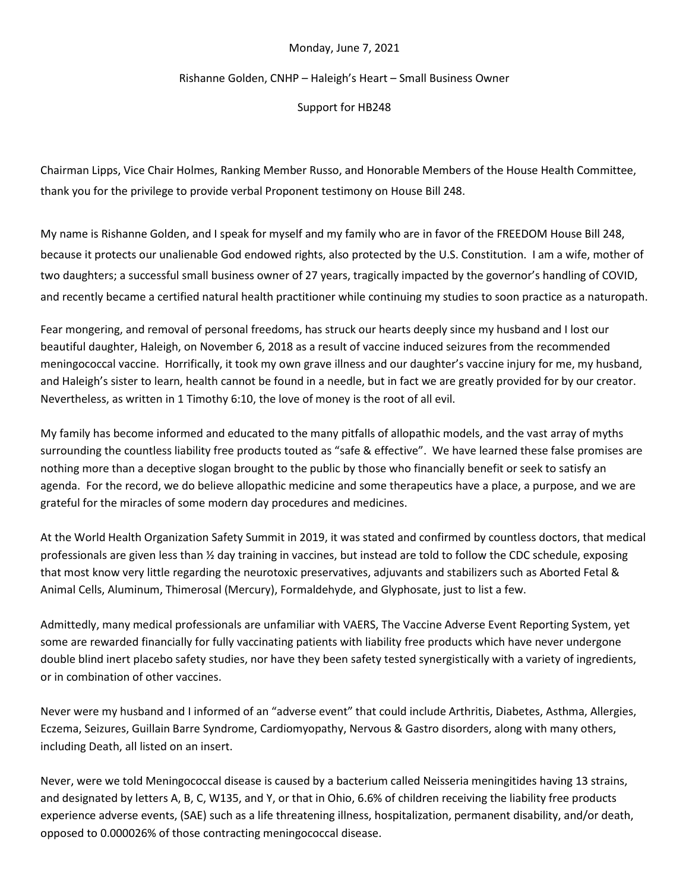## Monday, June 7, 2021

## Rishanne Golden, CNHP – Haleigh's Heart – Small Business Owner

Support for HB248

Chairman Lipps, Vice Chair Holmes, Ranking Member Russo, and Honorable Members of the House Health Committee, thank you for the privilege to provide verbal Proponent testimony on House Bill 248.

My name is Rishanne Golden, and I speak for myself and my family who are in favor of the FREEDOM House Bill 248, because it protects our unalienable God endowed rights, also protected by the U.S. Constitution. I am a wife, mother of two daughters; a successful small business owner of 27 years, tragically impacted by the governor's handling of COVID, and recently became a certified natural health practitioner while continuing my studies to soon practice as a naturopath.

Fear mongering, and removal of personal freedoms, has struck our hearts deeply since my husband and I lost our beautiful daughter, Haleigh, on November 6, 2018 as a result of vaccine induced seizures from the recommended meningococcal vaccine. Horrifically, it took my own grave illness and our daughter's vaccine injury for me, my husband, and Haleigh's sister to learn, health cannot be found in a needle, but in fact we are greatly provided for by our creator. Nevertheless, as written in 1 Timothy 6:10, the love of money is the root of all evil.

My family has become informed and educated to the many pitfalls of allopathic models, and the vast array of myths surrounding the countless liability free products touted as "safe & effective". We have learned these false promises are nothing more than a deceptive slogan brought to the public by those who financially benefit or seek to satisfy an agenda. For the record, we do believe allopathic medicine and some therapeutics have a place, a purpose, and we are grateful for the miracles of some modern day procedures and medicines.

At the World Health Organization Safety Summit in 2019, it was stated and confirmed by countless doctors, that medical professionals are given less than ½ day training in vaccines, but instead are told to follow the CDC schedule, exposing that most know very little regarding the neurotoxic preservatives, adjuvants and stabilizers such as Aborted Fetal & Animal Cells, Aluminum, Thimerosal (Mercury), Formaldehyde, and Glyphosate, just to list a few.

Admittedly, many medical professionals are unfamiliar with VAERS, The Vaccine Adverse Event Reporting System, yet some are rewarded financially for fully vaccinating patients with liability free products which have never undergone double blind inert placebo safety studies, nor have they been safety tested synergistically with a variety of ingredients, or in combination of other vaccines.

Never were my husband and I informed of an "adverse event" that could include Arthritis, Diabetes, Asthma, Allergies, Eczema, Seizures, Guillain Barre Syndrome, Cardiomyopathy, Nervous & Gastro disorders, along with many others, including Death, all listed on an insert.

Never, were we told Meningococcal disease is caused by a bacterium called Neisseria meningitides having 13 strains, and designated by letters A, B, C, W135, and Y, or that in Ohio, 6.6% of children receiving the liability free products experience adverse events, (SAE) such as a life threatening illness, hospitalization, permanent disability, and/or death, opposed to 0.000026% of those contracting meningococcal disease.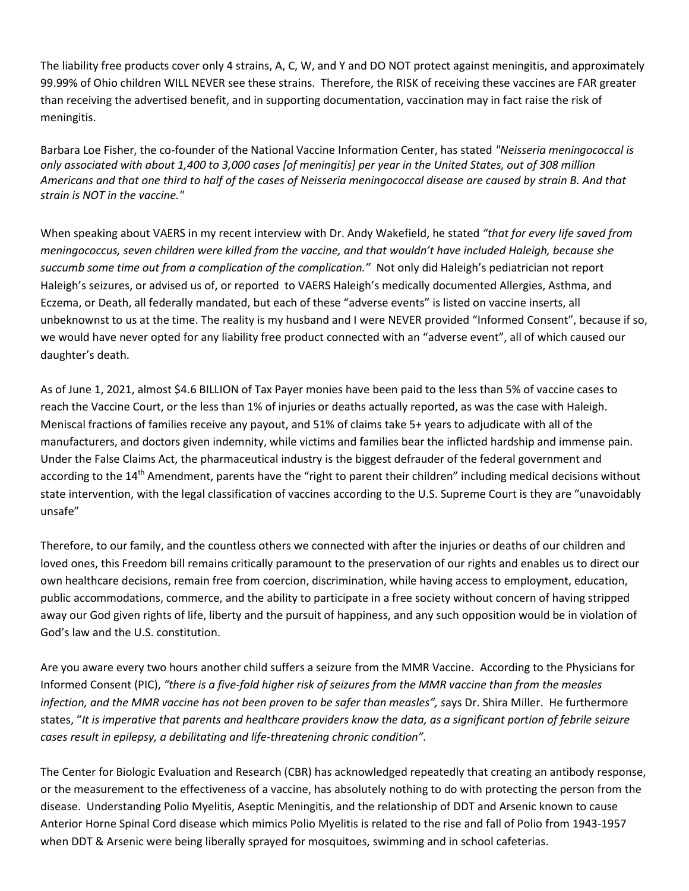The liability free products cover only 4 strains, A, C, W, and Y and DO NOT protect against meningitis, and approximately 99.99% of Ohio children WILL NEVER see these strains. Therefore, the RISK of receiving these vaccines are FAR greater than receiving the advertised benefit, and in supporting documentation, vaccination may in fact raise the risk of meningitis.

Barbara Loe Fisher, the co-founder of the National Vaccine Information Center, has stated *"Neisseria meningococcal is only associated with about 1,400 to 3,000 cases [of meningitis] per year in the United States, out of 308 million Americans and that one third to half of the cases of Neisseria meningococcal disease are caused by strain B. And that strain is NOT in the vaccine."*

When speaking about VAERS in my recent interview with Dr. Andy Wakefield, he stated *"that for every life saved from meningococcus, seven children were killed from the vaccine, and that wouldn't have included Haleigh, because she succumb some time out from a complication of the complication."* Not only did Haleigh's pediatrician not report Haleigh's seizures, or advised us of, or reported to VAERS Haleigh's medically documented Allergies, Asthma, and Eczema, or Death, all federally mandated, but each of these "adverse events" is listed on vaccine inserts, all unbeknownst to us at the time. The reality is my husband and I were NEVER provided "Informed Consent", because if so, we would have never opted for any liability free product connected with an "adverse event", all of which caused our daughter's death.

As of June 1, 2021, almost \$4.6 BILLION of Tax Payer monies have been paid to the less than 5% of vaccine cases to reach the Vaccine Court, or the less than 1% of injuries or deaths actually reported, as was the case with Haleigh. Meniscal fractions of families receive any payout, and 51% of claims take 5+ years to adjudicate with all of the manufacturers, and doctors given indemnity, while victims and families bear the inflicted hardship and immense pain. Under the False Claims Act, the pharmaceutical industry is the biggest defrauder of the federal government and according to the 14<sup>th</sup> Amendment, parents have the "right to parent their children" including medical decisions without state intervention, with the legal classification of vaccines according to the U.S. Supreme Court is they are "unavoidably unsafe"

Therefore, to our family, and the countless others we connected with after the injuries or deaths of our children and loved ones, this Freedom bill remains critically paramount to the preservation of our rights and enables us to direct our own healthcare decisions, remain free from coercion, discrimination, while having access to employment, education, public accommodations, commerce, and the ability to participate in a free society without concern of having stripped away our God given rights of life, liberty and the pursuit of happiness, and any such opposition would be in violation of God's law and the U.S. constitution.

Are you aware every two hours another child suffers a seizure from the MMR Vaccine. According to the Physicians for Informed Consent (PIC), *"there is a five-fold higher risk of seizures from the MMR vaccine than from the measles infection, and the MMR vaccine has not been proven to be safer than measles", s*ays Dr. Shira Miller. He furthermore states, "*It is imperative that parents and healthcare providers know the data, as a significant portion of febrile seizure cases result in epilepsy, a debilitating and life-threatening chronic condition".* 

The Center for Biologic Evaluation and Research (CBR) has acknowledged repeatedly that creating an antibody response, or the measurement to the effectiveness of a vaccine, has absolutely nothing to do with protecting the person from the disease. Understanding Polio Myelitis, Aseptic Meningitis, and the relationship of DDT and Arsenic known to cause Anterior Horne Spinal Cord disease which mimics Polio Myelitis is related to the rise and fall of Polio from 1943-1957 when DDT & Arsenic were being liberally sprayed for mosquitoes, swimming and in school cafeterias.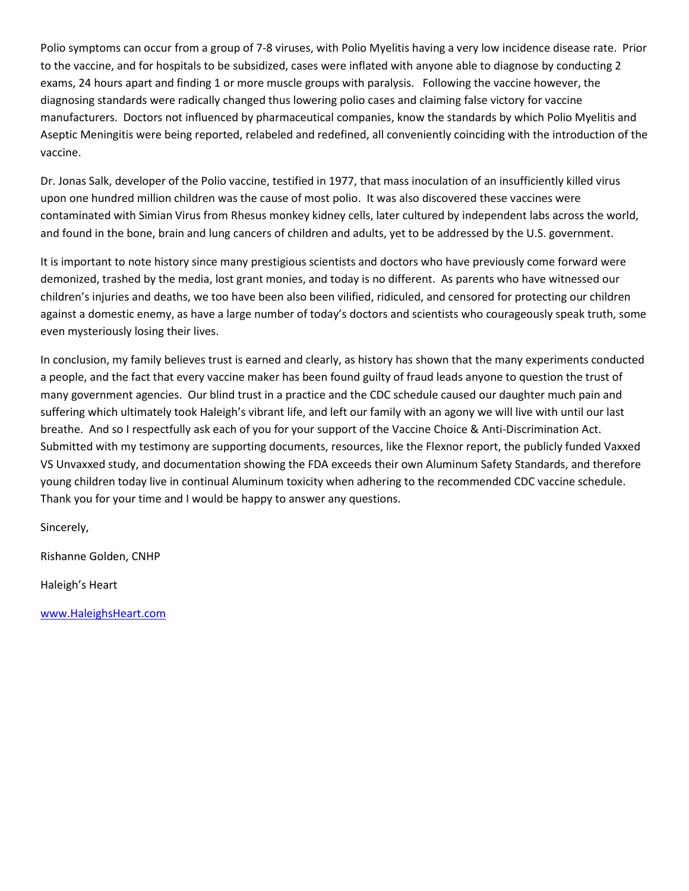Polio symptoms can occur from a group of 7-8 viruses, with Polio Myelitis having a very low incidence disease rate. Prior to the vaccine, and for hospitals to be subsidized, cases were inflated with anyone able to diagnose by conducting 2 exams, 24 hours apart and finding 1 or more muscle groups with paralysis. Following the vaccine however, the diagnosing standards were radically changed thus lowering polio cases and claiming false victory for vaccine manufacturers. Doctors not influenced by pharmaceutical companies, know the standards by which Polio Myelitis and Aseptic Meningitis were being reported, relabeled and redefined, all conveniently coinciding with the introduction of the vaccine.

Dr. Jonas Salk, developer of the Polio vaccine, testified in 1977, that mass inoculation of an insufficiently killed virus upon one hundred million children was the cause of most polio. It was also discovered these vaccines were contaminated with Simian Virus from Rhesus monkey kidney cells, later cultured by independent labs across the world, and found in the bone, brain and lung cancers of children and adults, yet to be addressed by the U.S. government.

It is important to note history since many prestigious scientists and doctors who have previously come forward were demonized, trashed by the media, lost grant monies, and today is no different. As parents who have witnessed our children's injuries and deaths, we too have been also been vilified, ridiculed, and censored for protecting our children against a domestic enemy, as have a large number of today's doctors and scientists who courageously speak truth, some even mysteriously losing their lives.

In conclusion, my family believes trust is earned and clearly, as history has shown that the many experiments conducted a people, and the fact that every vaccine maker has been found guilty of fraud leads anyone to question the trust of many government agencies. Our blind trust in a practice and the CDC schedule caused our daughter much pain and suffering which ultimately took Haleigh's vibrant life, and left our family with an agony we will live with until our last breathe. And so I respectfully ask each of you for your support of the Vaccine Choice & Anti-Discrimination Act. Submitted with my testimony are supporting documents, resources, like the Flexnor report, the publicly funded Vaxxed VS Unvaxxed study, and documentation showing the FDA exceeds their own Aluminum Safety Standards, and therefore young children today live in continual Aluminum toxicity when adhering to the recommended CDC vaccine schedule. Thank you for your time and I would be happy to answer any questions.

Sincerely,

Rishanne Golden, CNHP

Haleigh's Heart

[www.HaleighsHeart.com](http://www.haleighsheart.com/)